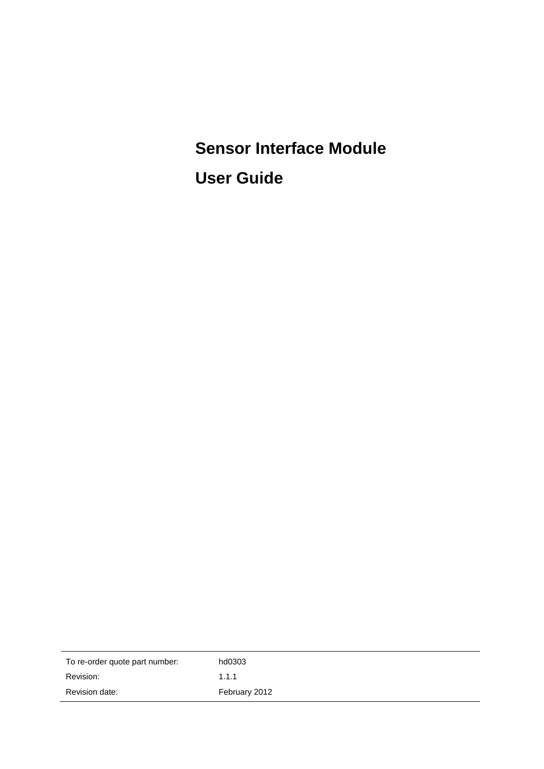**Sensor Interface Module User Guide**

| To re-order quote part number: | hd0303        |
|--------------------------------|---------------|
| Revision:                      | 1.1.1         |
| Revision date:                 | February 2012 |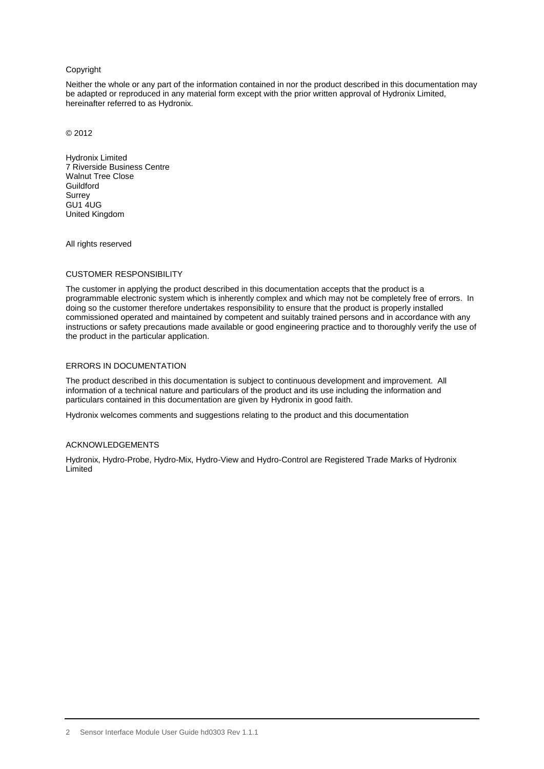#### Copyright

Neither the whole or any part of the information contained in nor the product described in this documentation may be adapted or reproduced in any material form except with the prior written approval of Hydronix Limited, hereinafter referred to as Hydronix.

© 2012

Hydronix Limited 7 Riverside Business Centre Walnut Tree Close **Guildford** Surrey GU1 4UG United Kingdom

All rights reserved

#### CUSTOMER RESPONSIBILITY

The customer in applying the product described in this documentation accepts that the product is a programmable electronic system which is inherently complex and which may not be completely free of errors. In doing so the customer therefore undertakes responsibility to ensure that the product is properly installed commissioned operated and maintained by competent and suitably trained persons and in accordance with any instructions or safety precautions made available or good engineering practice and to thoroughly verify the use of the product in the particular application.

#### ERRORS IN DOCUMENTATION

The product described in this documentation is subject to continuous development and improvement. All information of a technical nature and particulars of the product and its use including the information and particulars contained in this documentation are given by Hydronix in good faith.

Hydronix welcomes comments and suggestions relating to the product and this documentation

#### ACKNOWLEDGEMENTS

Hydronix, Hydro-Probe, Hydro-Mix, Hydro-View and Hydro-Control are Registered Trade Marks of Hydronix **Limited**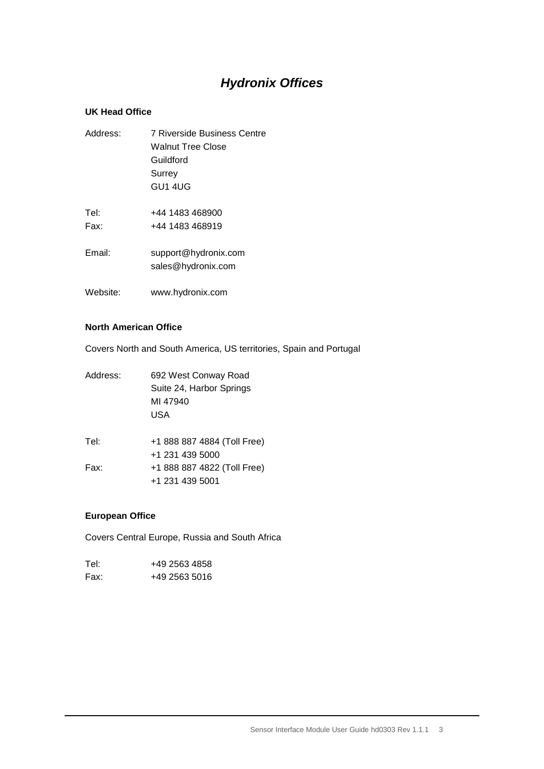# *Hydronix Offices*

### **UK Head Office**

| Address:     | 7 Riverside Business Centre<br><b>Walnut Tree Close</b><br>Guildford<br>Surrey<br>GU1 4UG |
|--------------|-------------------------------------------------------------------------------------------|
| Tel:<br>Fax: | +44 1483 468900<br>+44 1483 468919                                                        |
| Email:       | support@hydronix.com<br>sales@hydronix.com                                                |
| Website:     | www.hydronix.com                                                                          |

#### **North American Office**

Covers North and South America, US territories, Spain and Portugal

| Address: | 692 West Conway Road<br>Suite 24, Harbor Springs<br>MI 47940<br>USA |  |
|----------|---------------------------------------------------------------------|--|
| Tel:     | +1 888 887 4884 (Toll Free)                                         |  |
| Fax:     | +1 231 439 5000<br>+1 888 887 4822 (Toll Free)<br>+1 231 439 5001   |  |
|          |                                                                     |  |

### **European Office**

Covers Central Europe, Russia and South Africa

| Tel: | +49 2563 4858 |
|------|---------------|
| Fax: | +49 2563 5016 |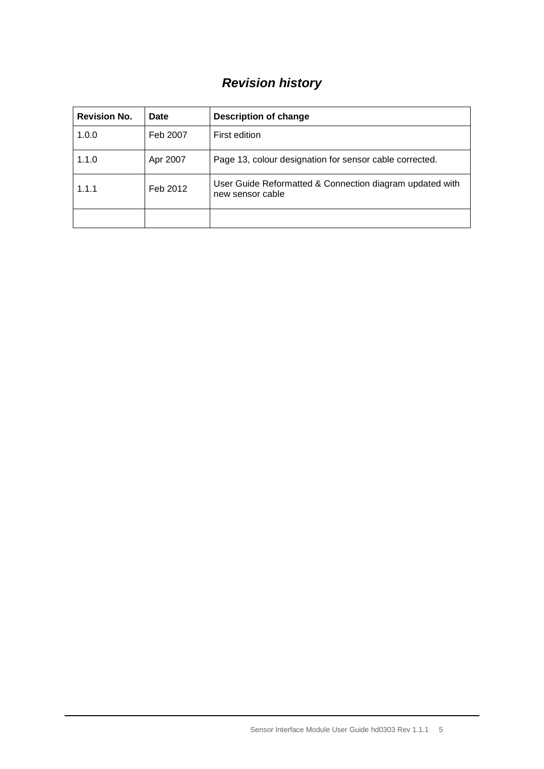# *Revision history*

| <b>Revision No.</b> | Date     | <b>Description of change</b>                                                 |
|---------------------|----------|------------------------------------------------------------------------------|
| 1.0.0               | Feb 2007 | First edition                                                                |
| 1.1.0               | Apr 2007 | Page 13, colour designation for sensor cable corrected.                      |
| 1.1.1               | Feb 2012 | User Guide Reformatted & Connection diagram updated with<br>new sensor cable |
|                     |          |                                                                              |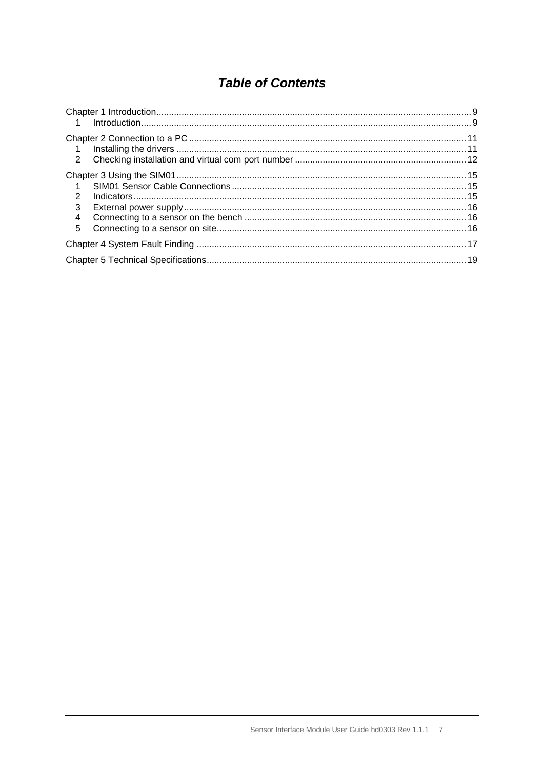# **Table of Contents**

| $\overline{1}$                            |  |
|-------------------------------------------|--|
| $\mathcal{P}$<br>3<br>$\overline{4}$<br>5 |  |
|                                           |  |
|                                           |  |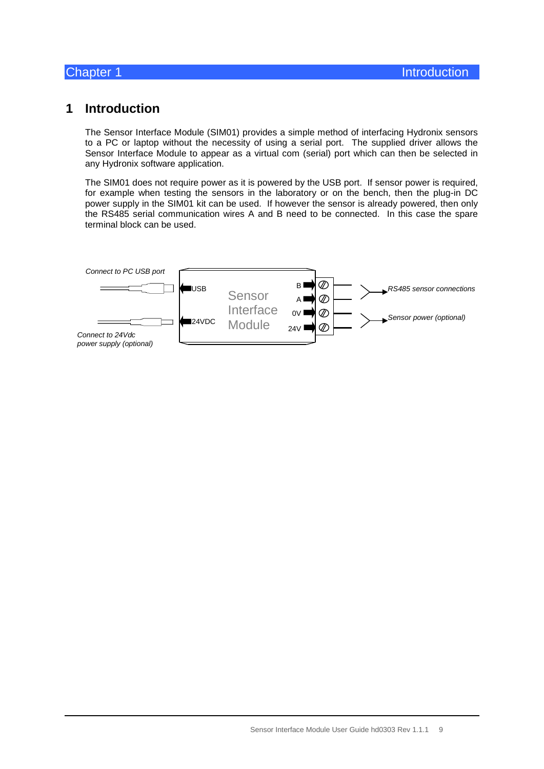## <span id="page-8-1"></span>**1 Introduction**

<span id="page-8-0"></span>The Sensor Interface Module (SIM01) provides a simple method of interfacing Hydronix sensors to a PC or laptop without the necessity of using a serial port. The supplied driver allows the Sensor Interface Module to appear as a virtual com (serial) port which can then be selected in any Hydronix software application.

The SIM01 does not require power as it is powered by the USB port. If sensor power is required, for example when testing the sensors in the laboratory or on the bench, then the plug-in DC power supply in the SIM01 kit can be used. If however the sensor is already powered, then only the RS485 serial communication wires A and B need to be connected. In this case the spare terminal block can be used.

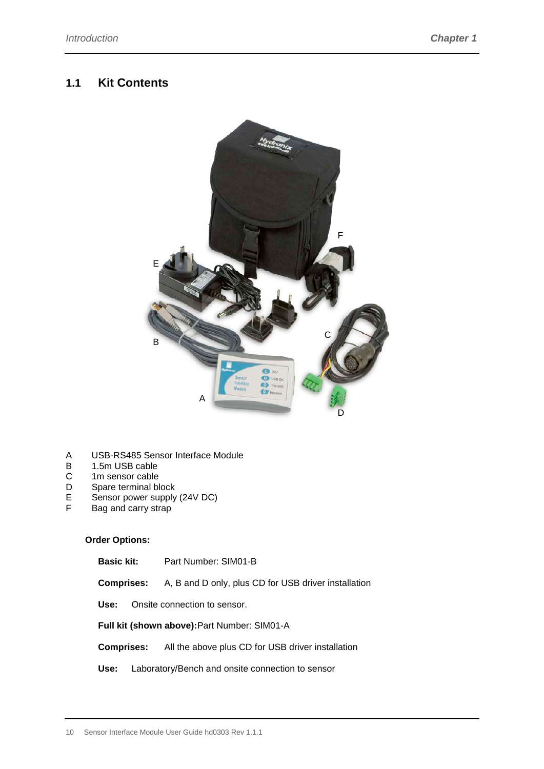## **1.1 Kit Contents**



- A USB-RS485 Sensor Interface Module<br>B 1.5m USB cable
- B 1.5m USB cable<br>C 1m sensor cable
- C 1m sensor cable<br>D Spare terminal bl
- D Spare terminal block<br>E Sensor power supply
- E Sensor power supply (24V DC)<br>F Bag and carry strap
- Bag and carry strap

#### **Order Options:**

**Basic kit:** Part Number: SIM01-B

**Comprises:** A, B and D only, plus CD for USB driver installation

**Use:** Onsite connection to sensor.

**Full kit (shown above):**Part Number: SIM01-A

**Comprises:** All the above plus CD for USB driver installation

**Use:** Laboratory/Bench and onsite connection to sensor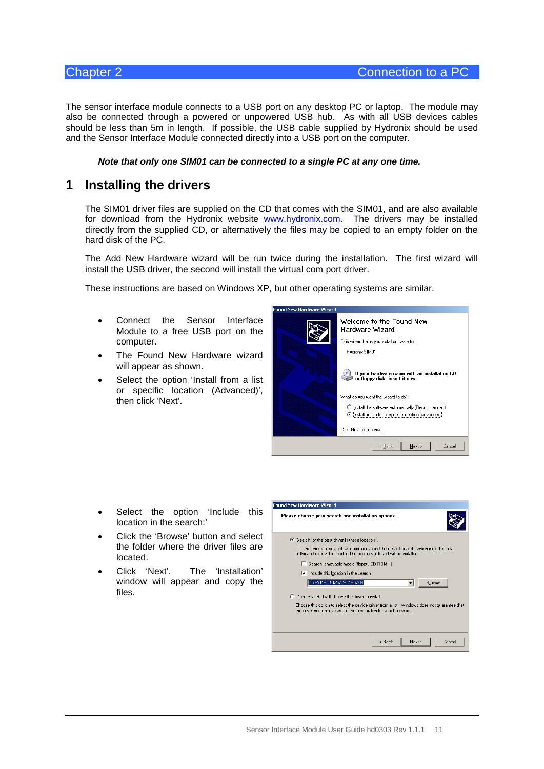The sensor interface module connects to a USB port on any desktop PC or laptop. The module may also be connected through a powered or unpowered USB hub. As with all USB devices cables should be less than 5m in length. If possible, the USB cable supplied by Hydronix should be used and the Sensor Interface Module connected directly into a USB port on the computer.

#### *Note that only one SIM01 can be connected to a single PC at any one time.*

## <span id="page-10-1"></span>**1 Installing the drivers**

The SIM01 driver files are supplied on the CD that comes with the SIM01, and are also available for download from the Hydronix website [www.hydronix.com.](http://www.hydronix.com/) The drivers may be installed directly from the supplied CD, or alternatively the files may be copied to an empty folder on the hard disk of the PC.

The Add New Hardware wizard will be run twice during the installation. The first wizard will install the USB driver, the second will install the virtual com port driver.

These instructions are based on Windows XP, but other operating systems are similar.

- Connect the Sensor Interface Module to a free USB port on the computer.
- The Found New Hardware wizard will appear as shown.
- Select the option 'Install from a list or specific location (Advanced)', then click 'Next'.

<span id="page-10-0"></span>

- Select the option 'Include this location in the search:'
- Click the 'Browse' button and select the folder where the driver files are located.
- Click 'Next'. The 'Installation' window will appear and copy the files.

| Found New Hardware Wizard                                                                                                                                      |
|----------------------------------------------------------------------------------------------------------------------------------------------------------------|
| Please choose your search and installation options.                                                                                                            |
| Search for the best driver in these locations.                                                                                                                 |
| Use the check boxes below to limit or expand the default search, which includes local<br>paths and removable media. The best driver found will be installed.   |
| □ Search removable media (floppy, CD-ROM)                                                                                                                      |
| $\triangleright$ Include this location in the search:                                                                                                          |
| C:\HYDRONIX VCP DRIVER<br>Browse                                                                                                                               |
| O Don't search. I will choose the driver to install.                                                                                                           |
| Choose this option to select the device driver from a list. Windows does not guarantee that<br>the driver you choose will be the best match for your hardware. |
|                                                                                                                                                                |
|                                                                                                                                                                |
| < Back<br>Cancel<br>Next >                                                                                                                                     |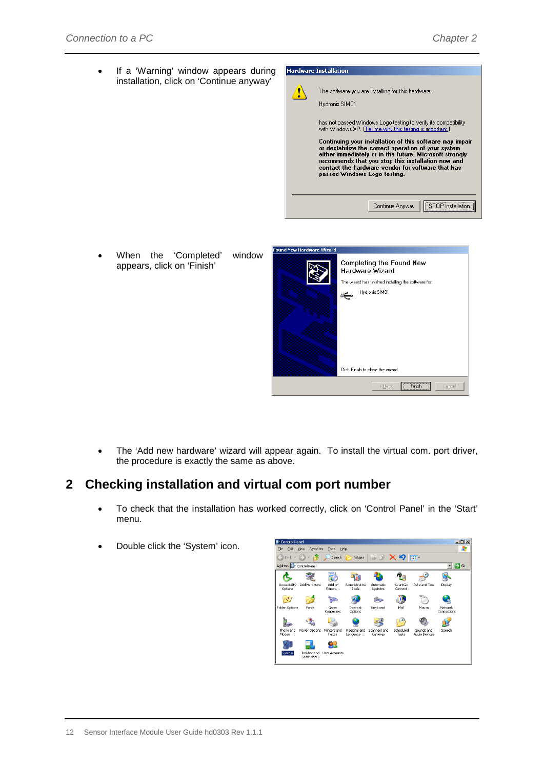• If a 'Warning' window appears during installation, click on 'Continue anyway'



When the 'Completed' window appears, click on 'Finish'



• The 'Add new hardware' wizard will appear again. To install the virtual com. port driver, the procedure is exactly the same as above.

# <span id="page-11-0"></span>**2 Checking installation and virtual com port number**

- To check that the installation has worked correctly, click on 'Control Panel' in the 'Start' menu.
- Double click the 'System' icon.

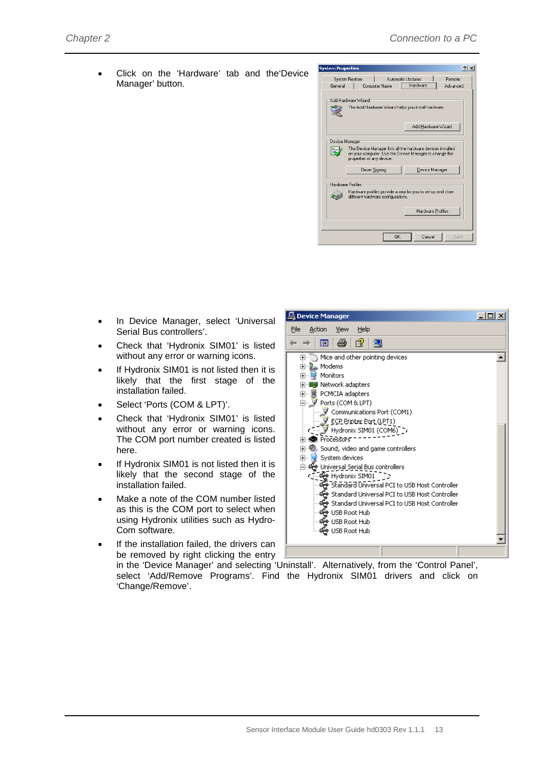$|$  $\Box$ | $\times$ 

 $\overline{\phantom{a}}$ 

• Click on the 'Hardware' tab and the'Device Manager' button.



- In Device Manager, select 'Universal Serial Bus controllers'.
- Check that 'Hydronix SIM01' is listed without any error or warning icons.
- If Hydronix SIM01 is not listed then it is likely that the first stage of the installation failed.
- Select 'Ports (COM & LPT)'.
- Check that 'Hydronix SIM01' is listed without any error or warning icons. The COM port number created is listed here.
- If Hydronix SIM01 is not listed then it is likely that the second stage of the installation failed.
- Make a note of the COM number listed as this is the COM port to select when using Hydronix utilities such as Hydro-Com software.

If the installation failed, the drivers can

मे— Modems<br>मे— अ Monitors H. HI Network adapters **E** PCMCIA adapters 白 y Ports (COM & LPT) Ports (Compacini)<br>■ Communications Port (COM1) ECP Printer Port (LPT1)<br>- Widronix SIM01 (COM6) -> ーーーー<br>田**·泰** Processors 5ystem devices ⊟- स्ट्वी Universal Serial Bus controllers Standard Universal PCI to USB Host Controller Standard Universal PCI to USB Host Controller ( - <del>ဟို့</del> USB Root Hub<br>- <del>ဟို့</del> USB Root Hub<br>- <del>ဟို့</del> USB Root Hub

be removed by right clicking the entry in the 'Device Manager' and selecting 'Uninstall'. Alternatively, from the 'Control Panel', select 'Add/Remove Programs'. Find the Hydronix SIM01 drivers and click on 'Change/Remove'.

Device Manager

File Action View

← → | ⊡ | ⊕ | ලු | ලූ

Help

in the Mice and other pointing devices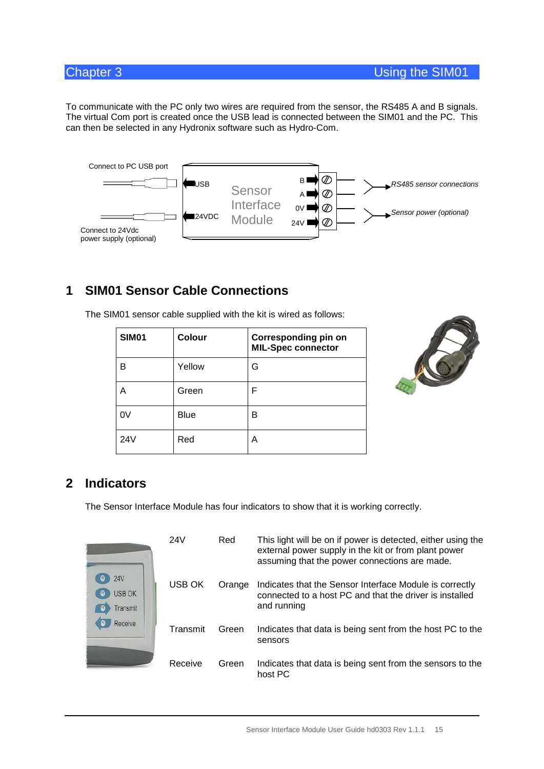To communicate with the PC only two wires are required from the sensor, the RS485 A and B signals. The virtual Com port is created once the USB lead is connected between the SIM01 and the PC. This can then be selected in any Hydronix software such as Hydro-Com.



<span id="page-14-1"></span>**1 SIM01 Sensor Cable Connections**

| <b>SIM01</b> | Colour | <b>Corresponding pin on</b><br><b>MIL-Spec connector</b> |
|--------------|--------|----------------------------------------------------------|
| B            | Yellow | G                                                        |
| Α            | Green  | F                                                        |
| 0V           | Blue   | B                                                        |
| 24V          | Red    | А                                                        |

The SIM01 sensor cable supplied with the kit is wired as follows:

<span id="page-14-0"></span>

## <span id="page-14-2"></span>**2 Indicators**

The Sensor Interface Module has four indicators to show that it is working correctly.

|                                  | 24V      | Red    | This light will be on if power is detected, either using the<br>external power supply in the kit or from plant power<br>assuming that the power connections are made. |
|----------------------------------|----------|--------|-----------------------------------------------------------------------------------------------------------------------------------------------------------------------|
| 24V<br><b>USB OK</b><br>Transmit | USB OK   | Orange | Indicates that the Sensor Interface Module is correctly<br>connected to a host PC and that the driver is installed<br>and running                                     |
| Receive                          | Transmit | Green  | Indicates that data is being sent from the host PC to the<br>sensors                                                                                                  |
|                                  | Receive  | Green  | Indicates that data is being sent from the sensors to the<br>host PC                                                                                                  |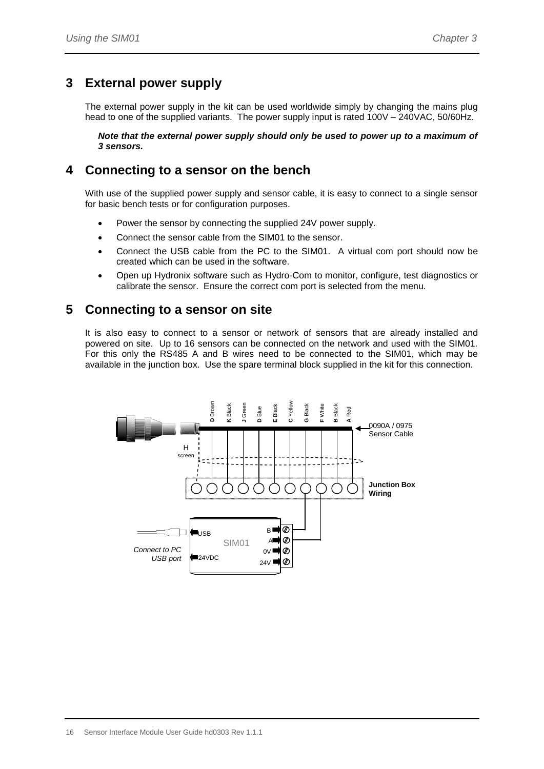# <span id="page-15-0"></span>**3 External power supply**

The external power supply in the kit can be used worldwide simply by changing the mains plug head to one of the supplied variants. The power supply input is rated 100V – 240VAC, 50/60Hz.

*Note that the external power supply should only be used to power up to a maximum of 3 sensors.*

## <span id="page-15-1"></span>**4 Connecting to a sensor on the bench**

With use of the supplied power supply and sensor cable, it is easy to connect to a single sensor for basic bench tests or for configuration purposes.

- Power the sensor by connecting the supplied 24V power supply.
- Connect the sensor cable from the SIM01 to the sensor.
- Connect the USB cable from the PC to the SIM01. A virtual com port should now be created which can be used in the software.
- Open up Hydronix software such as Hydro-Com to monitor, configure, test diagnostics or calibrate the sensor. Ensure the correct com port is selected from the menu.

## <span id="page-15-2"></span>**5 Connecting to a sensor on site**

It is also easy to connect to a sensor or network of sensors that are already installed and powered on site. Up to 16 sensors can be connected on the network and used with the SIM01. For this only the RS485 A and B wires need to be connected to the SIM01, which may be available in the junction box. Use the spare terminal block supplied in the kit for this connection.

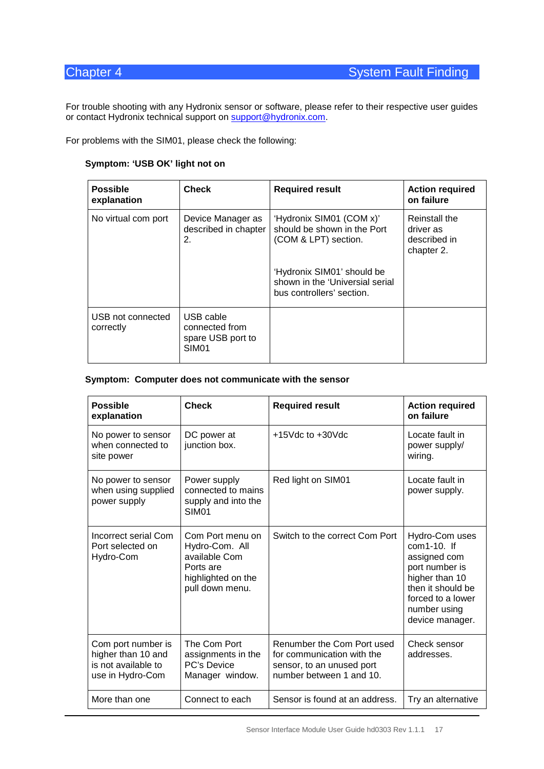For trouble shooting with any Hydronix sensor or software, please refer to their respective user guides or contact Hydronix technical support on [support@hydronix.com.](mailto:support@hydronix.com)

For problems with the SIM01, please check the following:

#### <span id="page-16-0"></span>**Symptom: 'USB OK' light not on**

| <b>Possible</b><br>explanation | <b>Check</b>                                                          | <b>Required result</b>                                                                     | <b>Action required</b><br>on failure                     |
|--------------------------------|-----------------------------------------------------------------------|--------------------------------------------------------------------------------------------|----------------------------------------------------------|
| No virtual com port            | Device Manager as<br>described in chapter<br>2.                       | 'Hydronix SIM01 (COM x)'<br>should be shown in the Port<br>(COM & LPT) section.            | Reinstall the<br>driver as<br>described in<br>chapter 2. |
|                                |                                                                       | 'Hydronix SIM01' should be<br>shown in the 'Universial serial<br>bus controllers' section. |                                                          |
| USB not connected<br>correctly | USB cable<br>connected from<br>spare USB port to<br>SIM <sub>01</sub> |                                                                                            |                                                          |

#### **Symptom: Computer does not communicate with the sensor**

| <b>Possible</b><br>explanation                                                      | <b>Check</b>                                                                                              | <b>Required result</b>                                                                                            | <b>Action required</b><br>on failure                                                                                                                              |
|-------------------------------------------------------------------------------------|-----------------------------------------------------------------------------------------------------------|-------------------------------------------------------------------------------------------------------------------|-------------------------------------------------------------------------------------------------------------------------------------------------------------------|
| No power to sensor<br>when connected to<br>site power                               | DC power at<br>junction box.                                                                              | $+15$ Vdc to $+30$ Vdc                                                                                            | Locate fault in<br>power supply/<br>wiring.                                                                                                                       |
| No power to sensor<br>when using supplied<br>power supply                           | Power supply<br>connected to mains<br>supply and into the<br><b>SIM01</b>                                 | Red light on SIM01                                                                                                | Locate fault in<br>power supply.                                                                                                                                  |
| Incorrect serial Com<br>Port selected on<br>Hydro-Com                               | Com Port menu on<br>Hydro-Com. All<br>available Com<br>Ports are<br>highlighted on the<br>pull down menu. | Switch to the correct Com Port                                                                                    | Hydro-Com uses<br>$com1-10$ . If<br>assigned com<br>port number is<br>higher than 10<br>then it should be<br>forced to a lower<br>number using<br>device manager. |
| Com port number is<br>higher than 10 and<br>is not available to<br>use in Hydro-Com | The Com Port<br>assignments in the<br><b>PC's Device</b><br>Manager window.                               | Renumber the Com Port used<br>for communication with the<br>sensor, to an unused port<br>number between 1 and 10. | Check sensor<br>addresses.                                                                                                                                        |
| More than one                                                                       | Connect to each                                                                                           | Sensor is found at an address.                                                                                    | Try an alternative                                                                                                                                                |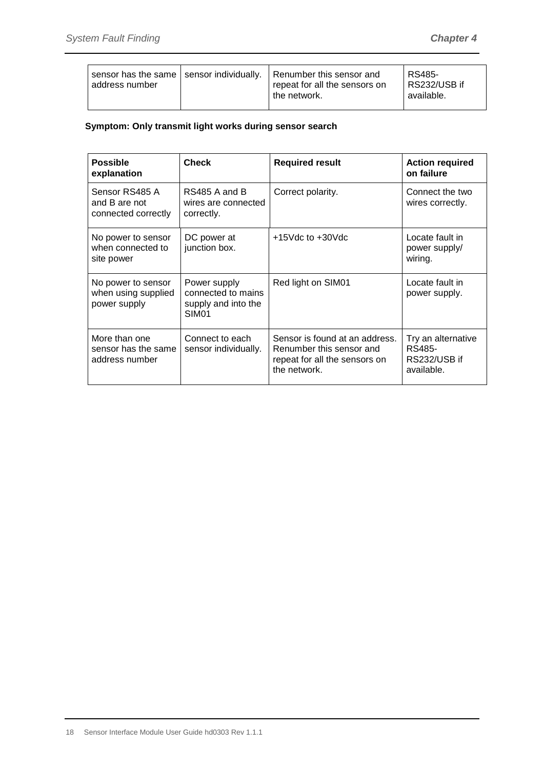| sensor has the same   sensor individually.   Renumber this sensor and<br>address number | repeat for all the sensors on<br>the network. | RS485-<br>RS232/USB if<br>available. |
|-----------------------------------------------------------------------------------------|-----------------------------------------------|--------------------------------------|
|-----------------------------------------------------------------------------------------|-----------------------------------------------|--------------------------------------|

### **Symptom: Only transmit light works during sensor search**

| <b>Possible</b><br>explanation                            | <b>Check</b>                                                                   | <b>Required result</b>                                                                                      | <b>Action required</b><br>on failure                       |
|-----------------------------------------------------------|--------------------------------------------------------------------------------|-------------------------------------------------------------------------------------------------------------|------------------------------------------------------------|
| Sensor RS485 A<br>and B are not<br>connected correctly    | RS485 A and B<br>wires are connected<br>correctly.                             | Correct polarity.                                                                                           | Connect the two<br>wires correctly.                        |
| No power to sensor<br>when connected to<br>site power     | DC power at<br>junction box.                                                   | $+15$ Vdc to $+30$ Vdc                                                                                      | Locate fault in<br>power supply/<br>wiring.                |
| No power to sensor<br>when using supplied<br>power supply | Power supply<br>connected to mains<br>supply and into the<br>SIM <sub>01</sub> | Red light on SIM01                                                                                          | Locate fault in<br>power supply.                           |
| More than one<br>sensor has the same<br>address number    | Connect to each<br>sensor individually.                                        | Sensor is found at an address.<br>Renumber this sensor and<br>repeat for all the sensors on<br>the network. | Try an alternative<br>RS485-<br>RS232/USB if<br>available. |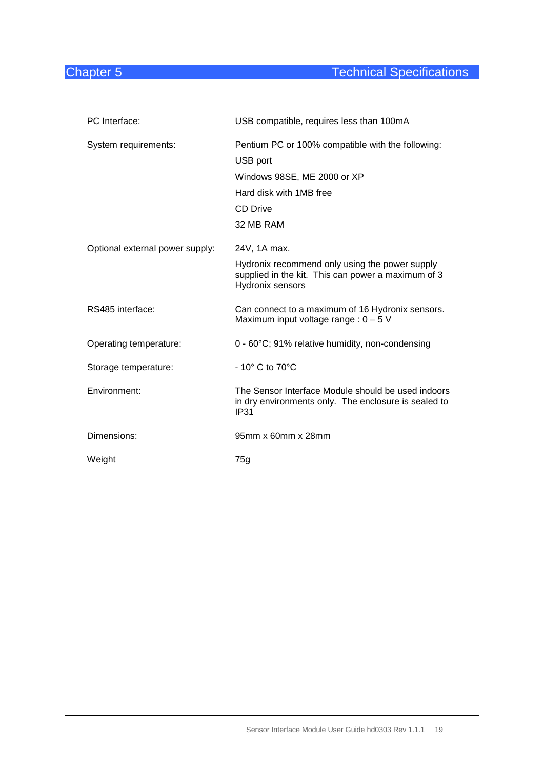# **Chapter 5** Chapter 5 **Technical Specifications**

<span id="page-18-0"></span>

| PC Interface:                   | USB compatible, requires less than 100mA                                                                                                   |
|---------------------------------|--------------------------------------------------------------------------------------------------------------------------------------------|
| System requirements:            | Pentium PC or 100% compatible with the following:<br>USB port<br>Windows 98SE, ME 2000 or XP<br>Hard disk with 1MB free<br><b>CD Drive</b> |
|                                 | 32 MB RAM                                                                                                                                  |
| Optional external power supply: | 24V, 1A max.<br>Hydronix recommend only using the power supply<br>supplied in the kit. This can power a maximum of 3<br>Hydronix sensors   |
| RS485 interface:                | Can connect to a maximum of 16 Hydronix sensors.<br>Maximum input voltage range : $0 - 5$ V                                                |
| Operating temperature:          | 0 - 60°C; 91% relative humidity, non-condensing                                                                                            |
| Storage temperature:            | $-10^\circ$ C to 70 $^{\circ}$ C                                                                                                           |
| Environment:                    | The Sensor Interface Module should be used indoors<br>in dry environments only. The enclosure is sealed to<br>IP31                         |
| Dimensions:                     | 95mm x 60mm x 28mm                                                                                                                         |
| Weight                          | 75g                                                                                                                                        |